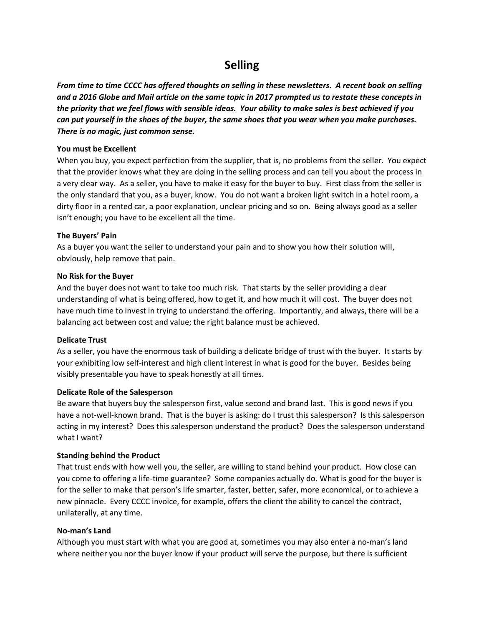# **Selling**

*From time to time CCCC has offered thoughts on selling in these newsletters. A recent book on selling and a 2016 Globe and Mail article on the same topic in 2017 prompted us to restate these concepts in the priority that we feel flows with sensible ideas. Your ability to make sales is best achieved if you can put yourself in the shoes of the buyer, the same shoes that you wear when you make purchases. There is no magic, just common sense.*

## **You must be Excellent**

When you buy, you expect perfection from the supplier, that is, no problems from the seller. You expect that the provider knows what they are doing in the selling process and can tell you about the process in a very clear way. As a seller, you have to make it easy for the buyer to buy. First class from the seller is the only standard that you, as a buyer, know. You do not want a broken light switch in a hotel room, a dirty floor in a rented car, a poor explanation, unclear pricing and so on. Being always good as a seller isn't enough; you have to be excellent all the time.

## **The Buyers' Pain**

As a buyer you want the seller to understand your pain and to show you how their solution will, obviously, help remove that pain.

## **No Risk for the Buyer**

And the buyer does not want to take too much risk. That starts by the seller providing a clear understanding of what is being offered, how to get it, and how much it will cost. The buyer does not have much time to invest in trying to understand the offering. Importantly, and always, there will be a balancing act between cost and value; the right balance must be achieved.

#### **Delicate Trust**

As a seller, you have the enormous task of building a delicate bridge of trust with the buyer. It starts by your exhibiting low self-interest and high client interest in what is good for the buyer. Besides being visibly presentable you have to speak honestly at all times.

# **Delicate Role of the Salesperson**

Be aware that buyers buy the salesperson first, value second and brand last. This is good news if you have a not-well-known brand. That is the buyer is asking: do I trust this salesperson? Is this salesperson acting in my interest? Does this salesperson understand the product? Does the salesperson understand what I want?

# **Standing behind the Product**

That trust ends with how well you, the seller, are willing to stand behind your product. How close can you come to offering a life-time guarantee? Some companies actually do. What is good for the buyer is for the seller to make that person's life smarter, faster, better, safer, more economical, or to achieve a new pinnacle. Every CCCC invoice, for example, offers the client the ability to cancel the contract, unilaterally, at any time.

#### **No-man's Land**

Although you must start with what you are good at, sometimes you may also enter a no-man's land where neither you nor the buyer know if your product will serve the purpose, but there is sufficient